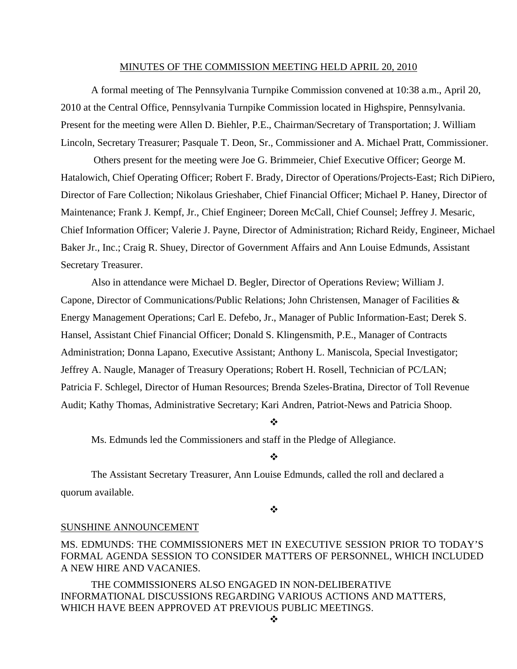#### MINUTES OF THE COMMISSION MEETING HELD APRIL 20, 2010

 A formal meeting of The Pennsylvania Turnpike Commission convened at 10:38 a.m., April 20, 2010 at the Central Office, Pennsylvania Turnpike Commission located in Highspire, Pennsylvania. Present for the meeting were Allen D. Biehler, P.E., Chairman/Secretary of Transportation; J. William Lincoln, Secretary Treasurer; Pasquale T. Deon, Sr., Commissioner and A. Michael Pratt, Commissioner.

 Others present for the meeting were Joe G. Brimmeier, Chief Executive Officer; George M. Hatalowich, Chief Operating Officer; Robert F. Brady, Director of Operations/Projects-East; Rich DiPiero, Director of Fare Collection; Nikolaus Grieshaber, Chief Financial Officer; Michael P. Haney, Director of Maintenance; Frank J. Kempf, Jr., Chief Engineer; Doreen McCall, Chief Counsel; Jeffrey J. Mesaric, Chief Information Officer; Valerie J. Payne, Director of Administration; Richard Reidy, Engineer, Michael Baker Jr., Inc.; Craig R. Shuey, Director of Government Affairs and Ann Louise Edmunds, Assistant Secretary Treasurer.

Also in attendance were Michael D. Begler, Director of Operations Review; William J. Capone, Director of Communications/Public Relations; John Christensen, Manager of Facilities & Energy Management Operations; Carl E. Defebo, Jr., Manager of Public Information-East; Derek S. Hansel, Assistant Chief Financial Officer; Donald S. Klingensmith, P.E., Manager of Contracts Administration; Donna Lapano, Executive Assistant; Anthony L. Maniscola, Special Investigator; Jeffrey A. Naugle, Manager of Treasury Operations; Robert H. Rosell, Technician of PC/LAN; Patricia F. Schlegel, Director of Human Resources; Brenda Szeles-Bratina, Director of Toll Revenue Audit; Kathy Thomas, Administrative Secretary; Kari Andren, Patriot-News and Patricia Shoop.

#### ❖

Ms. Edmunds led the Commissioners and staff in the Pledge of Allegiance.

#### $\frac{1}{2}$

The Assistant Secretary Treasurer, Ann Louise Edmunds, called the roll and declared a quorum available.

#### ❖

### SUNSHINE ANNOUNCEMENT

MS. EDMUNDS: THE COMMISSIONERS MET IN EXECUTIVE SESSION PRIOR TO TODAY'S FORMAL AGENDA SESSION TO CONSIDER MATTERS OF PERSONNEL, WHICH INCLUDED A NEW HIRE AND VACANIES.

THE COMMISSIONERS ALSO ENGAGED IN NON-DELIBERATIVE INFORMATIONAL DISCUSSIONS REGARDING VARIOUS ACTIONS AND MATTERS, WHICH HAVE BEEN APPROVED AT PREVIOUS PUBLIC MEETINGS.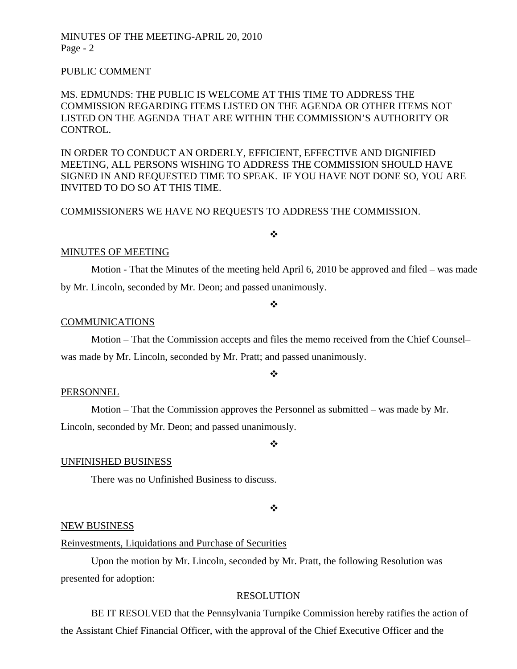#### PUBLIC COMMENT

## MS. EDMUNDS: THE PUBLIC IS WELCOME AT THIS TIME TO ADDRESS THE COMMISSION REGARDING ITEMS LISTED ON THE AGENDA OR OTHER ITEMS NOT LISTED ON THE AGENDA THAT ARE WITHIN THE COMMISSION'S AUTHORITY OR CONTROL.

IN ORDER TO CONDUCT AN ORDERLY, EFFICIENT, EFFECTIVE AND DIGNIFIED MEETING, ALL PERSONS WISHING TO ADDRESS THE COMMISSION SHOULD HAVE SIGNED IN AND REQUESTED TIME TO SPEAK. IF YOU HAVE NOT DONE SO, YOU ARE INVITED TO DO SO AT THIS TIME.

## COMMISSIONERS WE HAVE NO REQUESTS TO ADDRESS THE COMMISSION.

## $\frac{1}{2}$

#### MINUTES OF MEETING

Motion - That the Minutes of the meeting held April 6, 2010 be approved and filed – was made by Mr. Lincoln, seconded by Mr. Deon; and passed unanimously.

#### $\frac{1}{2}$

### COMMUNICATIONS

 Motion – That the Commission accepts and files the memo received from the Chief Counsel– was made by Mr. Lincoln, seconded by Mr. Pratt; and passed unanimously.

#### ÷

#### PERSONNEL

 Motion – That the Commission approves the Personnel as submitted – was made by Mr. Lincoln, seconded by Mr. Deon; and passed unanimously.

#### UNFINISHED BUSINESS

There was no Unfinished Business to discuss.

#### $\frac{1}{2}$

❖

#### NEW BUSINESS

## Reinvestments, Liquidations and Purchase of Securities

 Upon the motion by Mr. Lincoln, seconded by Mr. Pratt, the following Resolution was presented for adoption:

#### RESOLUTION

 BE IT RESOLVED that the Pennsylvania Turnpike Commission hereby ratifies the action of the Assistant Chief Financial Officer, with the approval of the Chief Executive Officer and the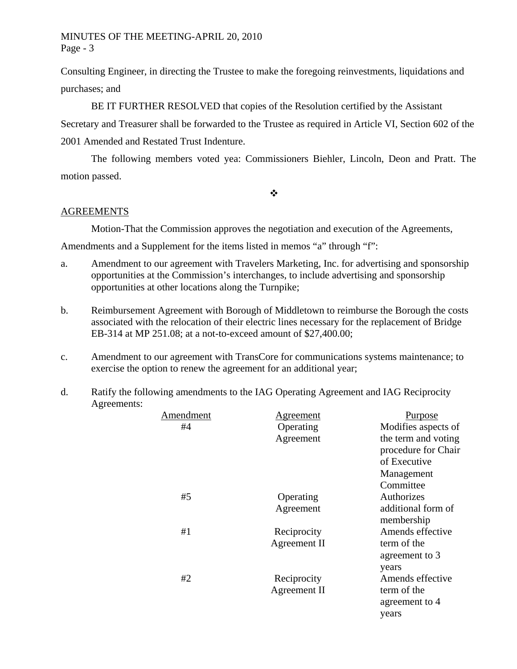Consulting Engineer, in directing the Trustee to make the foregoing reinvestments, liquidations and purchases; and

BE IT FURTHER RESOLVED that copies of the Resolution certified by the Assistant

Secretary and Treasurer shall be forwarded to the Trustee as required in Article VI, Section 602 of the 2001 Amended and Restated Trust Indenture.

The following members voted yea: Commissioners Biehler, Lincoln, Deon and Pratt. The motion passed.

 $\frac{1}{2}$ 

## AGREEMENTS

Motion-That the Commission approves the negotiation and execution of the Agreements,

Amendments and a Supplement for the items listed in memos "a" through "f":

- a. Amendment to our agreement with Travelers Marketing, Inc. for advertising and sponsorship opportunities at the Commission's interchanges, to include advertising and sponsorship opportunities at other locations along the Turnpike;
- b. Reimbursement Agreement with Borough of Middletown to reimburse the Borough the costs associated with the relocation of their electric lines necessary for the replacement of Bridge EB-314 at MP 251.08; at a not-to-exceed amount of \$27,400.00;
- c. Amendment to our agreement with TransCore for communications systems maintenance; to exercise the option to renew the agreement for an additional year;
- d. Ratify the following amendments to the IAG Operating Agreement and IAG Reciprocity Agreements:

| Amendment | Agreement    | Purpose             |
|-----------|--------------|---------------------|
| #4        | Operating    | Modifies aspects of |
|           | Agreement    | the term and voting |
|           |              | procedure for Chair |
|           |              | of Executive        |
|           |              | Management          |
|           |              | Committee           |
| #5        | Operating    | Authorizes          |
|           | Agreement    | additional form of  |
|           |              | membership          |
| #1        | Reciprocity  | Amends effective    |
|           | Agreement II | term of the         |
|           |              | agreement to 3      |
|           |              | years               |
| #2        | Reciprocity  | Amends effective    |
|           | Agreement II | term of the         |
|           |              | agreement to 4      |
|           |              | years               |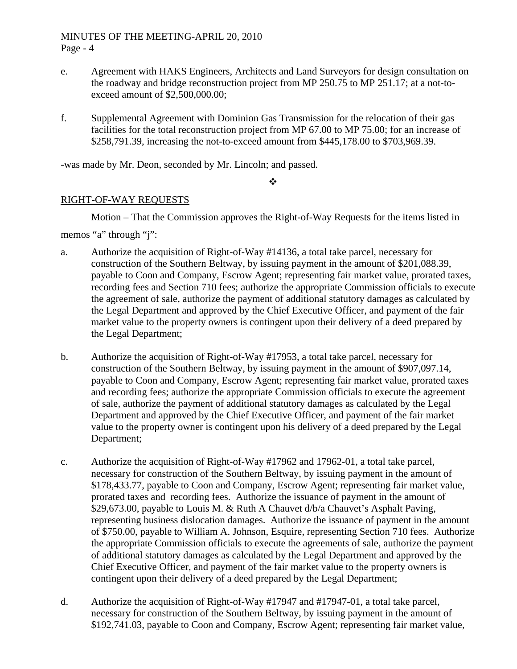- e. Agreement with HAKS Engineers, Architects and Land Surveyors for design consultation on the roadway and bridge reconstruction project from MP 250.75 to MP 251.17; at a not-toexceed amount of \$2,500,000.00;
- f. Supplemental Agreement with Dominion Gas Transmission for the relocation of their gas facilities for the total reconstruction project from MP 67.00 to MP 75.00; for an increase of \$258,791.39, increasing the not-to-exceed amount from \$445,178.00 to \$703,969.39.

-was made by Mr. Deon, seconded by Mr. Lincoln; and passed.

#### $\ddot{\bullet}$

# RIGHT-OF-WAY REQUESTS

Motion – That the Commission approves the Right-of-Way Requests for the items listed in

memos "a" through "j":

- a. Authorize the acquisition of Right-of-Way #14136, a total take parcel, necessary for construction of the Southern Beltway, by issuing payment in the amount of \$201,088.39, payable to Coon and Company, Escrow Agent; representing fair market value, prorated taxes, recording fees and Section 710 fees; authorize the appropriate Commission officials to execute the agreement of sale, authorize the payment of additional statutory damages as calculated by the Legal Department and approved by the Chief Executive Officer, and payment of the fair market value to the property owners is contingent upon their delivery of a deed prepared by the Legal Department;
- b. Authorize the acquisition of Right-of-Way #17953, a total take parcel, necessary for construction of the Southern Beltway, by issuing payment in the amount of \$907,097.14, payable to Coon and Company, Escrow Agent; representing fair market value, prorated taxes and recording fees; authorize the appropriate Commission officials to execute the agreement of sale, authorize the payment of additional statutory damages as calculated by the Legal Department and approved by the Chief Executive Officer, and payment of the fair market value to the property owner is contingent upon his delivery of a deed prepared by the Legal Department;
- c. Authorize the acquisition of Right-of-Way #17962 and 17962-01, a total take parcel, necessary for construction of the Southern Beltway, by issuing payment in the amount of \$178,433.77, payable to Coon and Company, Escrow Agent; representing fair market value, prorated taxes and recording fees. Authorize the issuance of payment in the amount of \$29,673.00, payable to Louis M. & Ruth A Chauvet d/b/a Chauvet's Asphalt Paving, representing business dislocation damages. Authorize the issuance of payment in the amount of \$750.00, payable to William A. Johnson, Esquire, representing Section 710 fees. Authorize the appropriate Commission officials to execute the agreements of sale, authorize the payment of additional statutory damages as calculated by the Legal Department and approved by the Chief Executive Officer, and payment of the fair market value to the property owners is contingent upon their delivery of a deed prepared by the Legal Department;
- d. Authorize the acquisition of Right-of-Way #17947 and #17947-01, a total take parcel, necessary for construction of the Southern Beltway, by issuing payment in the amount of \$192,741.03, payable to Coon and Company, Escrow Agent; representing fair market value,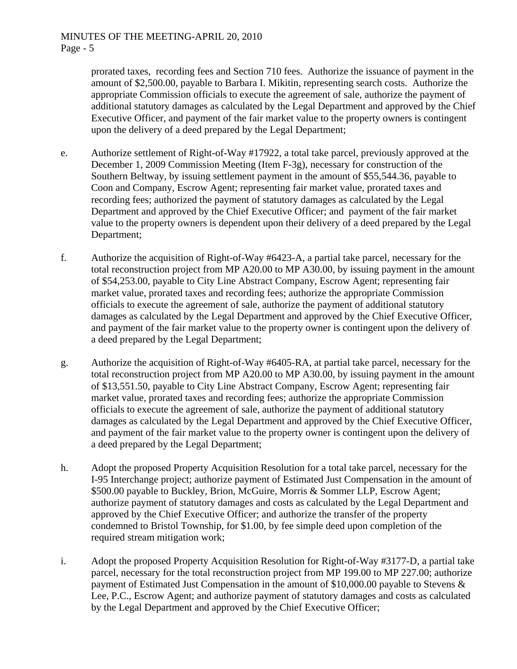prorated taxes, recording fees and Section 710 fees. Authorize the issuance of payment in the amount of \$2,500.00, payable to Barbara I. Mikitin, representing search costs. Authorize the appropriate Commission officials to execute the agreement of sale, authorize the payment of additional statutory damages as calculated by the Legal Department and approved by the Chief Executive Officer, and payment of the fair market value to the property owners is contingent upon the delivery of a deed prepared by the Legal Department;

- e. Authorize settlement of Right-of-Way #17922, a total take parcel, previously approved at the December 1, 2009 Commission Meeting (Item F-3g), necessary for construction of the Southern Beltway, by issuing settlement payment in the amount of \$55,544.36, payable to Coon and Company, Escrow Agent; representing fair market value, prorated taxes and recording fees; authorized the payment of statutory damages as calculated by the Legal Department and approved by the Chief Executive Officer; and payment of the fair market value to the property owners is dependent upon their delivery of a deed prepared by the Legal Department;
- f. Authorize the acquisition of Right-of-Way #6423-A, a partial take parcel, necessary for the total reconstruction project from MP A20.00 to MP A30.00, by issuing payment in the amount of \$54,253.00, payable to City Line Abstract Company, Escrow Agent; representing fair market value, prorated taxes and recording fees; authorize the appropriate Commission officials to execute the agreement of sale, authorize the payment of additional statutory damages as calculated by the Legal Department and approved by the Chief Executive Officer, and payment of the fair market value to the property owner is contingent upon the delivery of a deed prepared by the Legal Department;
- g. Authorize the acquisition of Right-of-Way #6405-RA, at partial take parcel, necessary for the total reconstruction project from MP A20.00 to MP A30.00, by issuing payment in the amount of \$13,551.50, payable to City Line Abstract Company, Escrow Agent; representing fair market value, prorated taxes and recording fees; authorize the appropriate Commission officials to execute the agreement of sale, authorize the payment of additional statutory damages as calculated by the Legal Department and approved by the Chief Executive Officer, and payment of the fair market value to the property owner is contingent upon the delivery of a deed prepared by the Legal Department;
- h. Adopt the proposed Property Acquisition Resolution for a total take parcel, necessary for the I-95 Interchange project; authorize payment of Estimated Just Compensation in the amount of \$500.00 payable to Buckley, Brion, McGuire, Morris & Sommer LLP, Escrow Agent; authorize payment of statutory damages and costs as calculated by the Legal Department and approved by the Chief Executive Officer; and authorize the transfer of the property condemned to Bristol Township, for \$1.00, by fee simple deed upon completion of the required stream mitigation work;
- i. Adopt the proposed Property Acquisition Resolution for Right-of-Way #3177-D, a partial take parcel, necessary for the total reconstruction project from MP 199.00 to MP 227.00; authorize payment of Estimated Just Compensation in the amount of \$10,000.00 payable to Stevens & Lee, P.C., Escrow Agent; and authorize payment of statutory damages and costs as calculated by the Legal Department and approved by the Chief Executive Officer;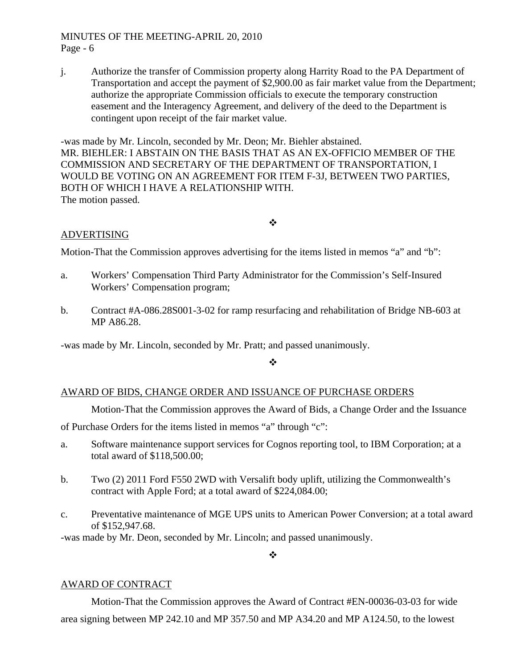j. Authorize the transfer of Commission property along Harrity Road to the PA Department of Transportation and accept the payment of \$2,900.00 as fair market value from the Department; authorize the appropriate Commission officials to execute the temporary construction easement and the Interagency Agreement, and delivery of the deed to the Department is contingent upon receipt of the fair market value.

-was made by Mr. Lincoln, seconded by Mr. Deon; Mr. Biehler abstained. MR. BIEHLER: I ABSTAIN ON THE BASIS THAT AS AN EX-OFFICIO MEMBER OF THE COMMISSION AND SECRETARY OF THE DEPARTMENT OF TRANSPORTATION, I WOULD BE VOTING ON AN AGREEMENT FOR ITEM F-3J, BETWEEN TWO PARTIES, BOTH OF WHICH I HAVE A RELATIONSHIP WITH. The motion passed.

# $\bullet^{\bullet}_{\bullet} \bullet$

## ADVERTISING

Motion-That the Commission approves advertising for the items listed in memos "a" and "b":

- a. Workers' Compensation Third Party Administrator for the Commission's Self-Insured Workers' Compensation program;
- b. Contract #A-086.28S001-3-02 for ramp resurfacing and rehabilitation of Bridge NB-603 at MP A86.28.

-was made by Mr. Lincoln, seconded by Mr. Pratt; and passed unanimously.

 $\cdot$ 

## AWARD OF BIDS, CHANGE ORDER AND ISSUANCE OF PURCHASE ORDERS

Motion-That the Commission approves the Award of Bids, a Change Order and the Issuance

of Purchase Orders for the items listed in memos "a" through "c":

- a. Software maintenance support services for Cognos reporting tool, to IBM Corporation; at a total award of \$118,500.00;
- b. Two (2) 2011 Ford F550 2WD with Versalift body uplift, utilizing the Commonwealth's contract with Apple Ford; at a total award of \$224,084.00;
- c. Preventative maintenance of MGE UPS units to American Power Conversion; at a total award of \$152,947.68.

-was made by Mr. Deon, seconded by Mr. Lincoln; and passed unanimously.

 $\frac{1}{2}$ 

## AWARD OF CONTRACT

Motion-That the Commission approves the Award of Contract #EN-00036-03-03 for wide area signing between MP 242.10 and MP 357.50 and MP A34.20 and MP A124.50, to the lowest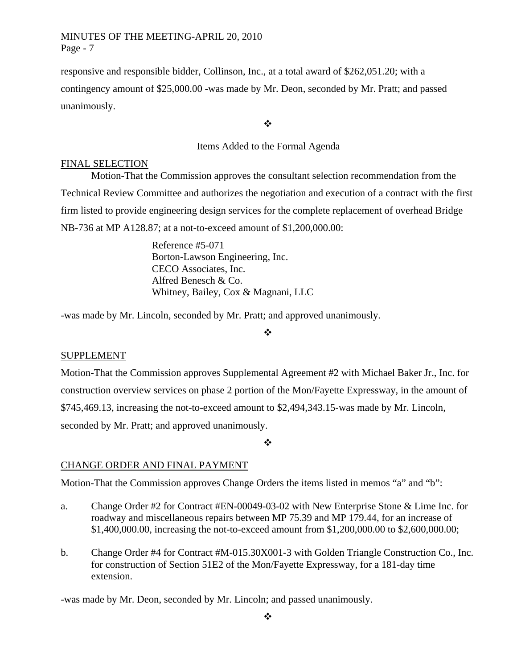responsive and responsible bidder, Collinson, Inc., at a total award of \$262,051.20; with a contingency amount of \$25,000.00 -was made by Mr. Deon, seconded by Mr. Pratt; and passed unanimously.

❖

# Items Added to the Formal Agenda

## FINAL SELECTION

Motion-That the Commission approves the consultant selection recommendation from the Technical Review Committee and authorizes the negotiation and execution of a contract with the first firm listed to provide engineering design services for the complete replacement of overhead Bridge NB-736 at MP A128.87; at a not-to-exceed amount of \$1,200,000.00:

> Reference #5-071 Borton-Lawson Engineering, Inc. CECO Associates, Inc. Alfred Benesch & Co. Whitney, Bailey, Cox & Magnani, LLC

-was made by Mr. Lincoln, seconded by Mr. Pratt; and approved unanimously.

❖

# SUPPLEMENT

Motion-That the Commission approves Supplemental Agreement #2 with Michael Baker Jr., Inc. for construction overview services on phase 2 portion of the Mon/Fayette Expressway, in the amount of \$745,469.13, increasing the not-to-exceed amount to \$2,494,343.15-was made by Mr. Lincoln, seconded by Mr. Pratt; and approved unanimously.

 $\cdot$ 

# CHANGE ORDER AND FINAL PAYMENT

Motion-That the Commission approves Change Orders the items listed in memos "a" and "b":

- a. Change Order #2 for Contract #EN-00049-03-02 with New Enterprise Stone & Lime Inc. for roadway and miscellaneous repairs between MP 75.39 and MP 179.44, for an increase of \$1,400,000.00, increasing the not-to-exceed amount from \$1,200,000.00 to \$2,600,000.00;
- b. Change Order #4 for Contract #M-015.30X001-3 with Golden Triangle Construction Co., Inc. for construction of Section 51E2 of the Mon/Fayette Expressway, for a 181-day time extension.

-was made by Mr. Deon, seconded by Mr. Lincoln; and passed unanimously.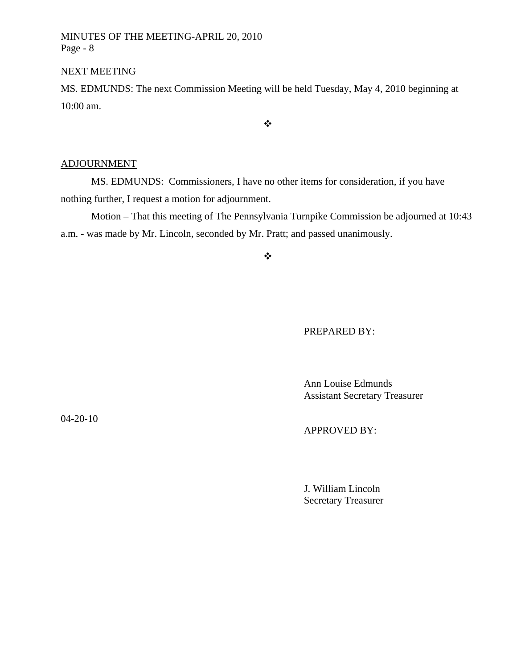## NEXT MEETING

MS. EDMUNDS: The next Commission Meeting will be held Tuesday, May 4, 2010 beginning at 10:00 am.

 $\ddot{\psi}$ 

# ADJOURNMENT

MS. EDMUNDS: Commissioners, I have no other items for consideration, if you have nothing further, I request a motion for adjournment.

Motion – That this meeting of The Pennsylvania Turnpike Commission be adjourned at 10:43 a.m. - was made by Mr. Lincoln, seconded by Mr. Pratt; and passed unanimously.

 $\frac{1}{2}$ 

## PREPARED BY:

 Ann Louise Edmunds Assistant Secretary Treasurer

04-20-10

## APPROVED BY:

 J. William Lincoln Secretary Treasurer